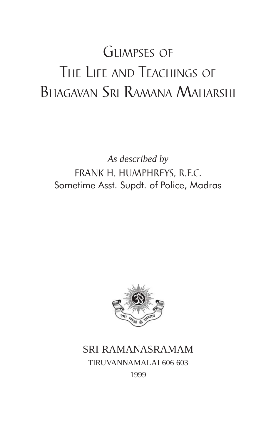# GLIMPSES OF THE LIFE AND TEACHINGS OF BHAGAVAN SRI RAMANA MAHARSHI

*As described by* FRANK H. HUMPHREYS, R.F.C. Sometime Asst. Supdt. of Police, Madras



# SRI RAMANASRAMAM TIRUVANNAMALAI 606 603 1999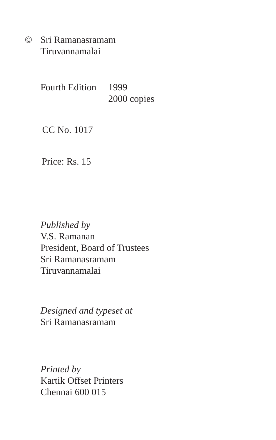© Sri Ramanasramam Tiruvannamalai

> Fourth Edition 1999 2000 copies

CC No. 1017

Price: Rs. 15

*Published by* V.S. Ramanan President, Board of Trustees Sri Ramanasramam Tiruvannamalai

*Designed and typeset at* Sri Ramanasramam

*Printed by* Kartik Offset Printers Chennai 600 015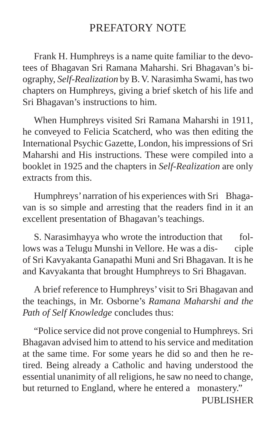# PREFATORY NOTE

Frank H. Humphreys is a name quite familiar to the devotees of Bhagavan Sri Ramana Maharshi. Sri Bhagavan's biography, *Self-Realization* by B. V. Narasimha Swami, has two chapters on Humphreys, giving a brief sketch of his life and Sri Bhagavan's instructions to him.

When Humphreys visited Sri Ramana Maharshi in 1911, he conveyed to Felicia Scatcherd, who was then editing the International Psychic Gazette, London, his impressions of Sri Maharshi and His instructions. These were compiled into a booklet in 1925 and the chapters in *Self-Realization* are only extracts from this.

Humphreys' narration of his experiences with Sri Bhagavan is so simple and arresting that the readers find in it an excellent presentation of Bhagavan's teachings.

S. Narasimhayya who wrote the introduction that follows was a Telugu Munshi in Vellore. He was a dis- ciple of Sri Kavyakanta Ganapathi Muni and Sri Bhagavan. It is he and Kavyakanta that brought Humphreys to Sri Bhagavan.

A brief reference to Humphreys' visit to Sri Bhagavan and the teachings, in Mr. Osborne's *Ramana Maharshi and the Path of Self Knowledge* concludes thus:

"Police service did not prove congenial to Humphreys. Sri Bhagavan advised him to attend to his service and meditation at the same time. For some years he did so and then he retired. Being already a Catholic and having understood the essential unanimity of all religions, he saw no need to change, but returned to England, where he entered a monastery."

PUBLISHER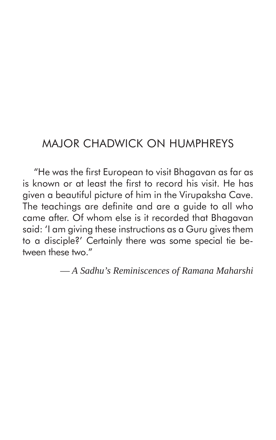# MAJOR CHADWICK ON HUMPHREYS

"He was the first European to visit Bhagavan as far as is known or at least the first to record his visit. He has given a beautiful picture of him in the Virupaksha Cave. The teachings are definite and are a guide to all who came after. Of whom else is it recorded that Bhagavan said: 'I am giving these instructions as a Guru gives them to a disciple?' Certainly there was some special tie between these two."

— *A Sadhu's Reminiscences of Ramana Maharshi*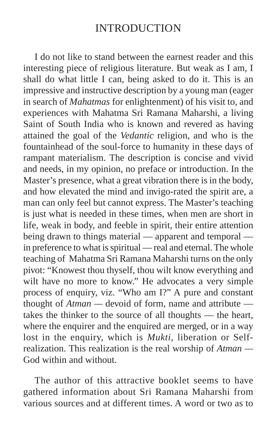# INTRODUCTION

I do not like to stand between the earnest reader and this interesting piece of religious literature. But weak as I am, I shall do what little I can, being asked to do it. This is an impressive and instructive description by a young man (eager in search of *Mahatmas* for enlightenment) of his visit to, and experiences with Mahatma Sri Ramana Maharshi, a living Saint of South India who is known and revered as having attained the goal of the *Vedantic* religion, and who is the fountainhead of the soul-force to humanity in these days of rampant materialism. The description is concise and vivid and needs, in my opinion, no preface or introduction. In the Master's presence, what a great vibration there is in the body, and how elevated the mind and invigo-rated the spirit are, a man can only feel but cannot express. The Master's teaching is just what is needed in these times, when men are short in life, weak in body, and feeble in spirit, their entire attention being drawn to things material — apparent and temporal in preference to what is spiritual — real and eternal. The whole teaching of Mahatma Sri Ramana Maharshi turns on the only pivot: "Knowest thou thyself, thou wilt know everything and wilt have no more to know." He advocates a very simple process of enquiry, viz. "Who am I?" A pure and constant thought of *Atman —* devoid of form, name and attribute takes the thinker to the source of all thoughts — the heart, where the enquirer and the enquired are merged, or in a way lost in the enquiry, which is *Mukti*, liberation or Selfrealization. This realization is the real worship of *Atman —* God within and without.

The author of this attractive booklet seems to have gathered information about Sri Ramana Maharshi from various sources and at different times. A word or two as to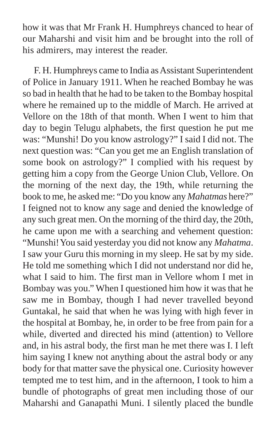how it was that Mr Frank H. Humphreys chanced to hear of our Maharshi and visit him and be brought into the roll of his admirers, may interest the reader.

F. H. Humphreys came to India as Assistant Superintendent of Police in January 1911. When he reached Bombay he was so bad in health that he had to be taken to the Bombay hospital where he remained up to the middle of March. He arrived at Vellore on the 18th of that month. When I went to him that day to begin Telugu alphabets, the first question he put me was: "Munshi! Do you know astrology?" I said I did not. The next question was: "Can you get me an English translation of some book on astrology?" I complied with his request by getting him a copy from the George Union Club, Vellore. On the morning of the next day, the 19th, while returning the book to me, he asked me: "Do you know any *Mahatmas* here?" I feigned not to know any sage and denied the knowledge of any such great men. On the morning of the third day, the 20th, he came upon me with a searching and vehement question: "Munshi! You said yesterday you did not know any *Mahatma*. I saw your Guru this morning in my sleep. He sat by my side. He told me something which I did not understand nor did he, what I said to him. The first man in Vellore whom I met in Bombay was you." When I questioned him how it was that he saw me in Bombay, though I had never travelled beyond Guntakal, he said that when he was lying with high fever in the hospital at Bombay, he, in order to be free from pain for a while, diverted and directed his mind (attention) to Vellore and, in his astral body, the first man he met there was I. I left him saying I knew not anything about the astral body or any body for that matter save the physical one. Curiosity however tempted me to test him, and in the afternoon, I took to him a bundle of photographs of great men including those of our Maharshi and Ganapathi Muni. I silently placed the bundle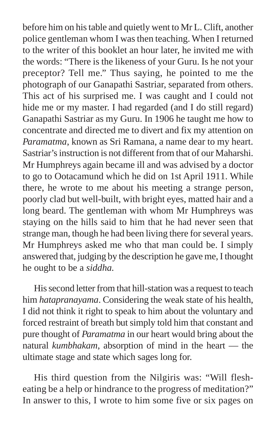before him on his table and quietly went to Mr L. Clift, another police gentleman whom I was then teaching. When I returned to the writer of this booklet an hour later, he invited me with the words: "There is the likeness of your Guru. Is he not your preceptor? Tell me." Thus saying, he pointed to me the photograph of our Ganapathi Sastriar, separated from others. This act of his surprised me. I was caught and I could not hide me or my master. I had regarded (and I do still regard) Ganapathi Sastriar as my Guru. In 1906 he taught me how to concentrate and directed me to divert and fix my attention on *Paramatma*, known as Sri Ramana, a name dear to my heart. Sastriar's instruction is not different from that of our Maharshi. Mr Humphreys again became ill and was advised by a doctor to go to Ootacamund which he did on 1st April 1911. While there, he wrote to me about his meeting a strange person, poorly clad but well-built, with bright eyes, matted hair and a long beard. The gentleman with whom Mr Humphreys was staying on the hills said to him that he had never seen that strange man, though he had been living there for several years. Mr Humphreys asked me who that man could be. I simply answered that, judging by the description he gave me, I thought he ought to be a *siddha.*

His second letter from that hill-station was a request to teach him *hatapranayama*. Considering the weak state of his health, I did not think it right to speak to him about the voluntary and forced restraint of breath but simply told him that constant and pure thought of *Paramatma* in our heart would bring about the natural *kumbhakam*, absorption of mind in the heart — the ultimate stage and state which sages long for.

His third question from the Nilgiris was: "Will flesheating be a help or hindrance to the progress of meditation?" In answer to this, I wrote to him some five or six pages on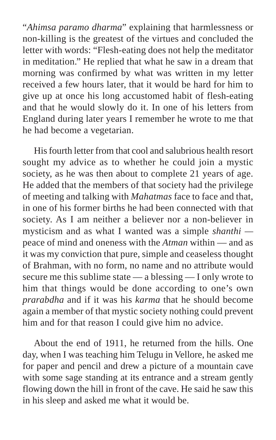"*Ahimsa paramo dharma*" explaining that harmlessness or non-killing is the greatest of the virtues and concluded the letter with words: "Flesh-eating does not help the meditator in meditation." He replied that what he saw in a dream that morning was confirmed by what was written in my letter received a few hours later, that it would be hard for him to give up at once his long accustomed habit of flesh-eating and that he would slowly do it. In one of his letters from England during later years I remember he wrote to me that he had become a vegetarian.

His fourth letter from that cool and salubrious health resort sought my advice as to whether he could join a mystic society, as he was then about to complete 21 years of age. He added that the members of that society had the privilege of meeting and talking with *Mahatmas* face to face and that, in one of his former births he had been connected with that society. As I am neither a believer nor a non-believer in mysticism and as what I wanted was a simple *shanthi*  peace of mind and oneness with the *Atman* within — and as it was my conviction that pure, simple and ceaseless thought of Brahman, with no form, no name and no attribute would secure me this sublime state — a blessing — I only wrote to him that things would be done according to one's own *prarabdha* and if it was his *karma* that he should become again a member of that mystic society nothing could prevent him and for that reason I could give him no advice.

About the end of 1911, he returned from the hills. One day, when I was teaching him Telugu in Vellore, he asked me for paper and pencil and drew a picture of a mountain cave with some sage standing at its entrance and a stream gently flowing down the hill in front of the cave. He said he saw this in his sleep and asked me what it would be.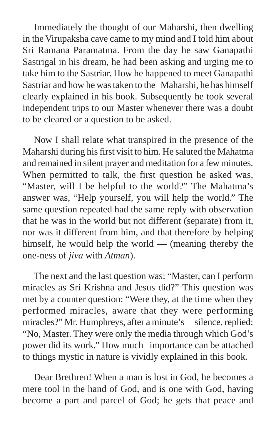Immediately the thought of our Maharshi, then dwelling in the Virupaksha cave came to my mind and I told him about Sri Ramana Paramatma. From the day he saw Ganapathi Sastrigal in his dream, he had been asking and urging me to take him to the Sastriar. How he happened to meet Ganapathi Sastriar and how he was taken to the Maharshi, he has himself clearly explained in his book. Subsequently he took several independent trips to our Master whenever there was a doubt to be cleared or a question to be asked.

Now I shall relate what transpired in the presence of the Maharshi during his first visit to him. He saluted the Mahatma and remained in silent prayer and meditation for a few minutes. When permitted to talk, the first question he asked was, "Master, will I be helpful to the world?" The Mahatma's answer was, "Help yourself, you will help the world." The same question repeated had the same reply with observation that he was in the world but not different (separate) from it, nor was it different from him, and that therefore by helping himself, he would help the world — (meaning thereby the one-ness of *jiva* with *Atman*).

The next and the last question was: "Master, can I perform miracles as Sri Krishna and Jesus did?" This question was met by a counter question: "Were they, at the time when they performed miracles, aware that they were performing miracles?" Mr. Humphreys, after a minute's silence, replied: "No, Master. They were only the media through which God's power did its work." How much importance can be attached to things mystic in nature is vividly explained in this book.

Dear Brethren! When a man is lost in God, he becomes a mere tool in the hand of God, and is one with God, having become a part and parcel of God; he gets that peace and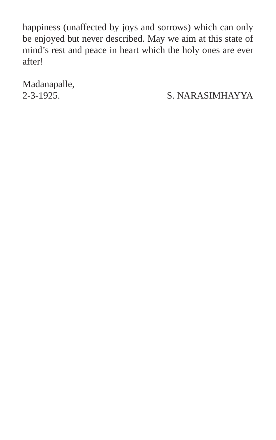happiness (unaffected by joys and sorrows) which can only be enjoyed but never described. May we aim at this state of mind's rest and peace in heart which the holy ones are ever after!

Madanapalle,

2-3-1925. S. NARASIMHAYYA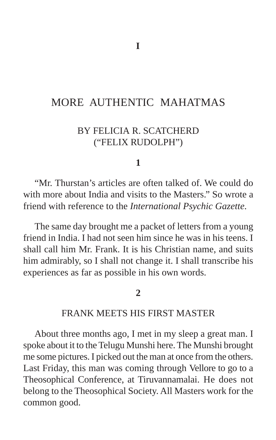# MORE AUTHENTIC MAHATMAS

# BY FELICIA R. SCATCHERD ("FELIX RUDOLPH")

#### **1**

"Mr. Thurstan's articles are often talked of. We could do with more about India and visits to the Masters." So wrote a friend with reference to the *International Psychic Gazette*.

The same day brought me a packet of letters from a young friend in India. I had not seen him since he was in his teens. I shall call him Mr. Frank. It is his Christian name, and suits him admirably, so I shall not change it. I shall transcribe his experiences as far as possible in his own words.

#### **2**

## FRANK MEETS HIS FIRST MASTER

About three months ago, I met in my sleep a great man. I spoke about it to the Telugu Munshi here. The Munshi brought me some pictures. I picked out the man at once from the others. Last Friday, this man was coming through Vellore to go to a Theosophical Conference, at Tiruvannamalai. He does not belong to the Theosophical Society. All Masters work for the common good.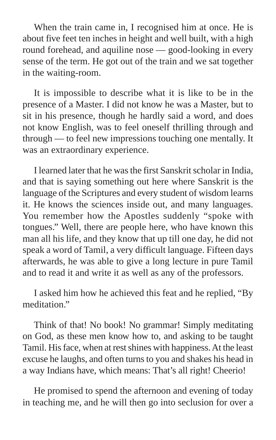When the train came in, I recognised him at once. He is about five feet ten inches in height and well built, with a high round forehead, and aquiline nose — good-looking in every sense of the term. He got out of the train and we sat together in the waiting-room.

It is impossible to describe what it is like to be in the presence of a Master. I did not know he was a Master, but to sit in his presence, though he hardly said a word, and does not know English, was to feel oneself thrilling through and through — to feel new impressions touching one mentally. It was an extraordinary experience.

I learned later that he was the first Sanskrit scholar in India, and that is saying something out here where Sanskrit is the language of the Scriptures and every student of wisdom learns it. He knows the sciences inside out, and many languages. You remember how the Apostles suddenly "spoke with tongues." Well, there are people here, who have known this man all his life, and they know that up till one day, he did not speak a word of Tamil, a very difficult language. Fifteen days afterwards, he was able to give a long lecture in pure Tamil and to read it and write it as well as any of the professors.

I asked him how he achieved this feat and he replied, "By meditation."

Think of that! No book! No grammar! Simply meditating on God, as these men know how to, and asking to be taught Tamil. His face, when at rest shines with happiness. At the least excuse he laughs, and often turns to you and shakes his head in a way Indians have, which means: That's all right! Cheerio!

He promised to spend the afternoon and evening of today in teaching me, and he will then go into seclusion for over a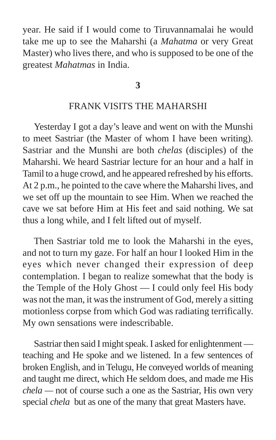year. He said if I would come to Tiruvannamalai he would take me up to see the Maharshi (a *Mahatma* or very Great Master) who lives there, and who is supposed to be one of the greatest *Mahatmas* in India.

**3**

### FRANK VISITS THE MAHARSHI

Yesterday I got a day's leave and went on with the Munshi to meet Sastriar (the Master of whom I have been writing). Sastriar and the Munshi are both *chelas* (disciples) of the Maharshi. We heard Sastriar lecture for an hour and a half in Tamil to a huge crowd, and he appeared refreshed by his efforts. At 2 p.m., he pointed to the cave where the Maharshi lives, and we set off up the mountain to see Him. When we reached the cave we sat before Him at His feet and said nothing. We sat thus a long while, and I felt lifted out of myself.

Then Sastriar told me to look the Maharshi in the eyes, and not to turn my gaze. For half an hour I looked Him in the eyes which never changed their expression of deep contemplation. I began to realize somewhat that the body is the Temple of the Holy Ghost — I could only feel His body was not the man, it was the instrument of God, merely a sitting motionless corpse from which God was radiating terrifically. My own sensations were indescribable.

Sastriar then said I might speak. I asked for enlightenment teaching and He spoke and we listened. In a few sentences of broken English, and in Telugu, He conveyed worlds of meaning and taught me direct, which He seldom does, and made me His *chela —* not of course such a one as the Sastriar, His own very special *chela* but as one of the many that great Masters have.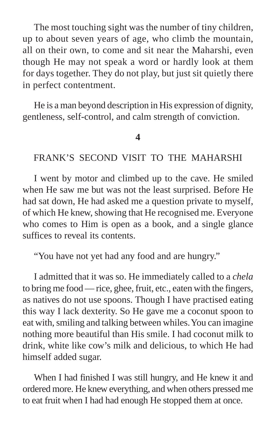The most touching sight was the number of tiny children, up to about seven years of age, who climb the mountain, all on their own, to come and sit near the Maharshi, even though He may not speak a word or hardly look at them for days together. They do not play, but just sit quietly there in perfect contentment.

He is a man beyond description in His expression of dignity, gentleness, self-control, and calm strength of conviction.

#### **4**

### FRANK'S SECOND VISIT TO THE MAHARSHI

I went by motor and climbed up to the cave. He smiled when He saw me but was not the least surprised. Before He had sat down, He had asked me a question private to myself, of which He knew, showing that He recognised me. Everyone who comes to Him is open as a book, and a single glance suffices to reveal its contents.

"You have not yet had any food and are hungry."

I admitted that it was so. He immediately called to a *chela* to bring me food — rice, ghee, fruit, etc., eaten with the fingers, as natives do not use spoons. Though I have practised eating this way I lack dexterity. So He gave me a coconut spoon to eat with, smiling and talking between whiles. You can imagine nothing more beautiful than His smile. I had coconut milk to drink, white like cow's milk and delicious, to which He had himself added sugar.

When I had finished I was still hungry, and He knew it and ordered more. He knew everything, and when others pressed me to eat fruit when I had had enough He stopped them at once.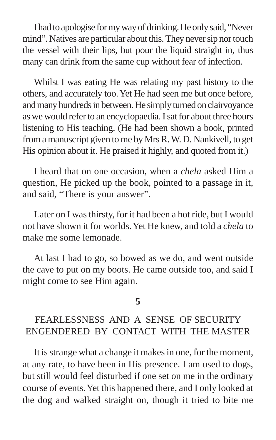I had to apologise for my way of drinking. He only said, "Never mind". Natives are particular about this. They never sip nor touch the vessel with their lips, but pour the liquid straight in, thus many can drink from the same cup without fear of infection.

Whilst I was eating He was relating my past history to the others, and accurately too. Yet He had seen me but once before, and many hundreds in between. He simply turned on clairvoyance as we would refer to an encyclopaedia. I sat for about three hours listening to His teaching. (He had been shown a book, printed from a manuscript given to me by Mrs R. W. D. Nankivell, to get His opinion about it. He praised it highly, and quoted from it.)

I heard that on one occasion, when a *chela* asked Him a question, He picked up the book, pointed to a passage in it, and said, "There is your answer".

Later on I was thirsty, for it had been a hot ride, but I would not have shown it for worlds. Yet He knew, and told a *chela* to make me some lemonade.

At last I had to go, so bowed as we do, and went outside the cave to put on my boots. He came outside too, and said I might come to see Him again.

#### **5**

# FEARLESSNESS AND A SENSE OF SECURITY ENGENDERED BY CONTACT WITH THE MASTER

It is strange what a change it makes in one, for the moment, at any rate, to have been in His presence. I am used to dogs, but still would feel disturbed if one set on me in the ordinary course of events. Yet this happened there, and I only looked at the dog and walked straight on, though it tried to bite me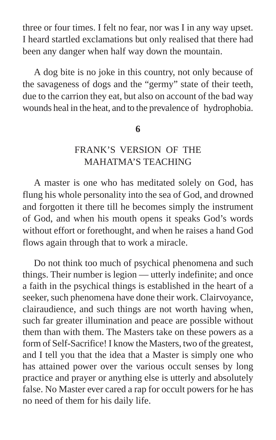three or four times. I felt no fear, nor was I in any way upset. I heard startled exclamations but only realised that there had been any danger when half way down the mountain.

A dog bite is no joke in this country, not only because of the savageness of dogs and the "germy" state of their teeth, due to the carrion they eat, but also on account of the bad way wounds heal in the heat, and to the prevalence of hydrophobia.

### **6**

# FRANK'S VERSION OF THE MAHATMA'S TEACHING

A master is one who has meditated solely on God, has flung his whole personality into the sea of God, and drowned and forgotten it there till he becomes simply the instrument of God, and when his mouth opens it speaks God's words without effort or forethought, and when he raises a hand God flows again through that to work a miracle.

Do not think too much of psychical phenomena and such things. Their number is legion — utterly indefinite; and once a faith in the psychical things is established in the heart of a seeker, such phenomena have done their work. Clairvoyance, clairaudience, and such things are not worth having when, such far greater illumination and peace are possible without them than with them. The Masters take on these powers as a form of Self-Sacrifice! I know the Masters, two of the greatest, and I tell you that the idea that a Master is simply one who has attained power over the various occult senses by long practice and prayer or anything else is utterly and absolutely false. No Master ever cared a rap for occult powers for he has no need of them for his daily life.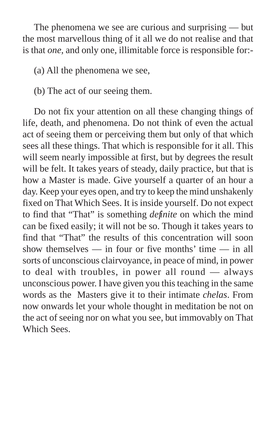The phenomena we see are curious and surprising — but the most marvellous thing of it all we do not realise and that is that *one,* and only one, illimitable force is responsible for:-

(a) All the phenomena we see,

(b) The act of our seeing them.

Do not fix your attention on all these changing things of life, death, and phenomena. Do not think of even the actual act of seeing them or perceiving them but only of that which sees all these things. That which is responsible for it all. This will seem nearly impossible at first, but by degrees the result will be felt. It takes years of steady, daily practice, but that is how a Master is made. Give yourself a quarter of an hour a day. Keep your eyes open, and try to keep the mind unshakenly fixed on That Which Sees. It is inside yourself. Do not expect to find that "That" is something *definite* on which the mind can be fixed easily; it will not be so. Though it takes years to find that "That" the results of this concentration will soon show themselves — in four or five months' time — in all sorts of unconscious clairvoyance, in peace of mind, in power to deal with troubles, in power all round — always unconscious power. I have given you this teaching in the same words as the Masters give it to their intimate *chelas*. From now onwards let your whole thought in meditation be not on the act of seeing nor on what you see, but immovably on That Which Sees.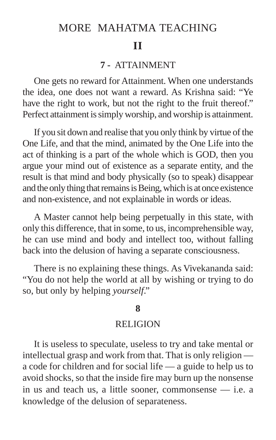# MORE MAHATMA TEACHING

# **II**

### **7 -** ATTAINMENT

One gets no reward for Attainment. When one understands the idea, one does not want a reward. As Krishna said: "Ye have the right to work, but not the right to the fruit thereof." Perfect attainment is simply worship, and worship is attainment.

If you sit down and realise that you only think by virtue of the One Life, and that the mind, animated by the One Life into the act of thinking is a part of the whole which is GOD, then you argue your mind out of existence as a separate entity, and the result is that mind and body physically (so to speak) disappear and the only thing that remains is Being, which is at once existence and non-existence, and not explainable in words or ideas.

A Master cannot help being perpetually in this state, with only this difference, that in some, to us, incomprehensible way, he can use mind and body and intellect too, without falling back into the delusion of having a separate consciousness.

There is no explaining these things. As Vivekananda said: "You do not help the world at all by wishing or trying to do so, but only by helping *yourself*."

#### **8**

#### **RELIGION**

It is useless to speculate, useless to try and take mental or intellectual grasp and work from that. That is only religion a code for children and for social life — a guide to help us to avoid shocks, so that the inside fire may burn up the nonsense in us and teach us, a little sooner, commonsense — i.e. a knowledge of the delusion of separateness.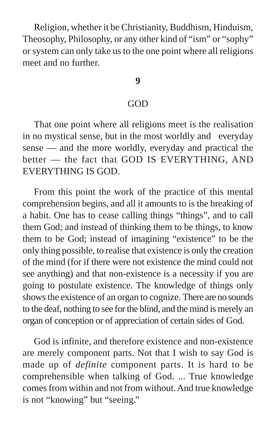Religion, whether it be Christianity, Buddhism, Hinduism, Theosophy, Philosophy, or any other kind of "ism" or "sophy" or system can only take us to the one point where all religions meet and no further.

## **9**

#### GOD

That one point where all religions meet is the realisation in no mystical sense, but in the most worldly and everyday sense — and the more worldly, everyday and practical the better — the fact that GOD IS EVERYTHING, AND EVERYTHING IS GOD.

From this point the work of the practice of this mental comprehension begins, and all it amounts to is the breaking of a habit. One has to cease calling things "things", and to call them God; and instead of thinking them to be things, to know them to be God; instead of imagining "existence" to be the only thing possible, to realise that existence is only the creation of the mind (for if there were not existence the mind could not see anything) and that non-existence is a necessity if you are going to postulate existence. The knowledge of things only shows the existence of an organ to cognize. There are no sounds to the deaf, nothing to see for the blind, and the mind is merely an organ of conception or of appreciation of certain sides of God.

God is infinite, and therefore existence and non-existence are merely component parts. Not that I wish to say God is made up of *definite* component parts. It is hard to be comprehensible when talking of God. ... True knowledge comes from within and not from without. And true knowledge is not "knowing" but "seeing."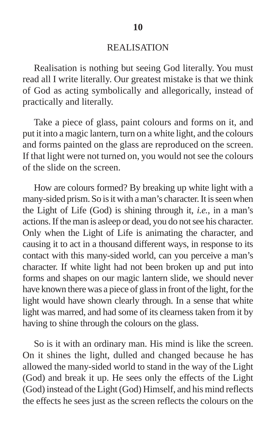#### REALISATION

Realisation is nothing but seeing God literally. You must read all I write literally. Our greatest mistake is that we think of God as acting symbolically and allegorically, instead of practically and literally.

Take a piece of glass, paint colours and forms on it, and put it into a magic lantern, turn on a white light, and the colours and forms painted on the glass are reproduced on the screen. If that light were not turned on, you would not see the colours of the slide on the screen.

How are colours formed? By breaking up white light with a many-sided prism. So is it with a man's character. It is seen when the Light of Life (God) is shining through it, *i.e.*, in a man's actions. If the man is asleep or dead, you do not see his character. Only when the Light of Life is animating the character, and causing it to act in a thousand different ways, in response to its contact with this many-sided world, can you perceive a man's character. If white light had not been broken up and put into forms and shapes on our magic lantern slide, we should never have known there was a piece of glass in front of the light, for the light would have shown clearly through. In a sense that white light was marred, and had some of its clearness taken from it by having to shine through the colours on the glass.

So is it with an ordinary man. His mind is like the screen. On it shines the light, dulled and changed because he has allowed the many-sided world to stand in the way of the Light (God) and break it up. He sees only the effects of the Light (God) instead of the Light (God) Himself, and his mind reflects the effects he sees just as the screen reflects the colours on the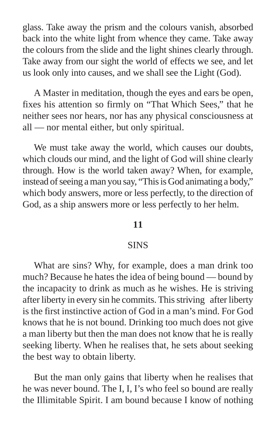glass. Take away the prism and the colours vanish, absorbed back into the white light from whence they came. Take away the colours from the slide and the light shines clearly through. Take away from our sight the world of effects we see, and let us look only into causes, and we shall see the Light (God).

A Master in meditation, though the eyes and ears be open, fixes his attention so firmly on "That Which Sees," that he neither sees nor hears, nor has any physical consciousness at all — nor mental either, but only spiritual.

We must take away the world, which causes our doubts, which clouds our mind, and the light of God will shine clearly through. How is the world taken away? When, for example, instead of seeing a man you say, "This is God animating a body," which body answers, more or less perfectly, to the direction of God, as a ship answers more or less perfectly to her helm.

#### **11**

#### SINS

What are sins? Why, for example, does a man drink too much? Because he hates the idea of being bound — bound by the incapacity to drink as much as he wishes. He is striving after liberty in every sin he commits. This striving after liberty is the first instinctive action of God in a man's mind. For God knows that he is not bound. Drinking too much does not give a man liberty but then the man does not know that he is really seeking liberty. When he realises that, he sets about seeking the best way to obtain liberty.

But the man only gains that liberty when he realises that he was never bound. The I, I, I's who feel so bound are really the Illimitable Spirit. I am bound because I know of nothing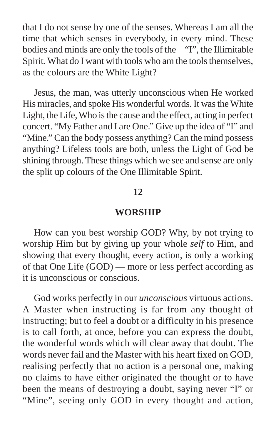that I do not sense by one of the senses. Whereas I am all the time that which senses in everybody, in every mind. These bodies and minds are only the tools of the "I", the Illimitable Spirit. What do I want with tools who am the tools themselves, as the colours are the White Light?

Jesus, the man, was utterly unconscious when He worked His miracles, and spoke His wonderful words. It was the White Light, the Life, Who is the cause and the effect, acting in perfect concert. "My Father and I are One." Give up the idea of "I" and "Mine." Can the body possess anything? Can the mind possess anything? Lifeless tools are both, unless the Light of God be shining through. These things which we see and sense are only the split up colours of the One Illimitable Spirit.

### **12**

#### **WORSHIP**

How can you best worship GOD? Why, by not trying to worship Him but by giving up your whole *self* to Him, and showing that every thought, every action, is only a working of that One Life (GOD) — more or less perfect according as it is unconscious or conscious.

God works perfectly in our *unconscious* virtuous actions. A Master when instructing is far from any thought of instructing; but to feel a doubt or a difficulty in his presence is to call forth, at once, before you can express the doubt, the wonderful words which will clear away that doubt. The words never fail and the Master with his heart fixed on GOD, realising perfectly that no action is a personal one, making no claims to have either originated the thought or to have been the means of destroying a doubt, saying never "I" or "Mine", seeing only GOD in every thought and action,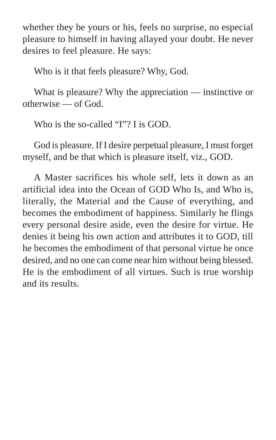whether they be yours or his, feels no surprise, no especial pleasure to himself in having allayed your doubt. He never desires to feel pleasure. He says:

Who is it that feels pleasure? Why, God.

What is pleasure? Why the appreciation — instinctive or otherwise — of God.

Who is the so-called "I"? I is GOD.

God is pleasure. If I desire perpetual pleasure, I must forget myself, and be that which is pleasure itself, viz., GOD.

A Master sacrifices his whole self, lets it down as an artificial idea into the Ocean of GOD Who Is, and Who is, literally, the Material and the Cause of everything, and becomes the embodiment of happiness. Similarly he flings every personal desire aside, even the desire for virtue. He denies it being his own action and attributes it to GOD, till he becomes the embodiment of that personal virtue he once desired, and no one can come near him without being blessed. He is the embodiment of all virtues. Such is true worship and its results.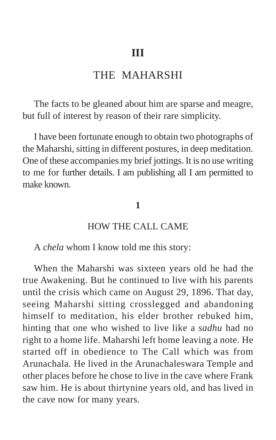# THE MAHARSHI

The facts to be gleaned about him are sparse and meagre, but full of interest by reason of their rare simplicity.

I have been fortunate enough to obtain two photographs of the Maharshi, sitting in different postures, in deep meditation. One of these accompanies my brief jottings. It is no use writing to me for further details. I am publishing all I am permitted to make known.

#### **1**

# HOW THE CALL CAME

A *chela* whom I know told me this story:

When the Maharshi was sixteen years old he had the true Awakening. But he continued to live with his parents until the crisis which came on August 29, 1896. That day, seeing Maharshi sitting crosslegged and abandoning himself to meditation, his elder brother rebuked him, hinting that one who wished to live like a *sadhu* had no right to a home life. Maharshi left home leaving a note. He started off in obedience to The Call which was from Arunachala. He lived in the Arunachaleswara Temple and other places before he chose to live in the cave where Frank saw him. He is about thirtynine years old, and has lived in the cave now for many years.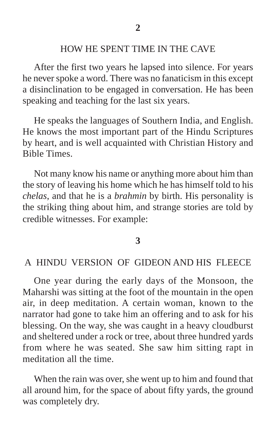# HOW HE SPENT TIME IN THE CAVE

After the first two years he lapsed into silence. For years he never spoke a word. There was no fanaticism in this except a disinclination to be engaged in conversation. He has been speaking and teaching for the last six years.

He speaks the languages of Southern India, and English. He knows the most important part of the Hindu Scriptures by heart, and is well acquainted with Christian History and Bible Times.

Not many know his name or anything more about him than the story of leaving his home which he has himself told to his *chelas*, and that he is a *brahmin* by birth. His personality is the striking thing about him, and strange stories are told by credible witnesses. For example:

#### **3**

# A HINDU VERSION OF GIDEON AND HIS FLEECE

One year during the early days of the Monsoon, the Maharshi was sitting at the foot of the mountain in the open air, in deep meditation. A certain woman, known to the narrator had gone to take him an offering and to ask for his blessing. On the way, she was caught in a heavy cloudburst and sheltered under a rock or tree, about three hundred yards from where he was seated. She saw him sitting rapt in meditation all the time.

When the rain was over, she went up to him and found that all around him, for the space of about fifty yards, the ground was completely dry.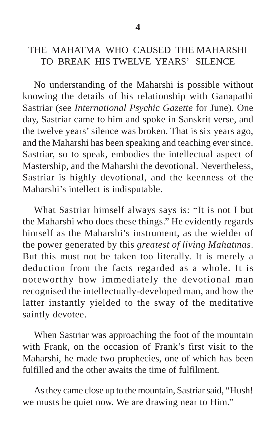# THE MAHATMA WHO CAUSED THE MAHARSHI TO BREAK HIS TWELVE YEARS' SILENCE

No understanding of the Maharshi is possible without knowing the details of his relationship with Ganapathi Sastriar (see *International Psychic Gazette* for June). One day, Sastriar came to him and spoke in Sanskrit verse, and the twelve years' silence was broken. That is six years ago, and the Maharshi has been speaking and teaching ever since. Sastriar, so to speak, embodies the intellectual aspect of Mastership, and the Maharshi the devotional. Nevertheless, Sastriar is highly devotional, and the keenness of the Maharshi's intellect is indisputable.

What Sastriar himself always says is: "It is not I but the Maharshi who does these things." He evidently regards himself as the Maharshi's instrument, as the wielder of the power generated by this *greatest of living Mahatmas*. But this must not be taken too literally. It is merely a deduction from the facts regarded as a whole. It is noteworthy how immediately the devotional man recognised the intellectually-developed man, and how the latter instantly yielded to the sway of the meditative saintly devotee.

When Sastriar was approaching the foot of the mountain with Frank, on the occasion of Frank's first visit to the Maharshi, he made two prophecies, one of which has been fulfilled and the other awaits the time of fulfilment.

As they came close up to the mountain, Sastriar said, "Hush! we musts be quiet now. We are drawing near to Him."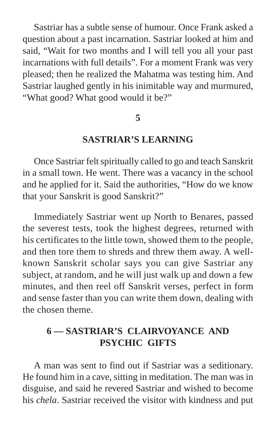Sastriar has a subtle sense of humour. Once Frank asked a question about a past incarnation. Sastriar looked at him and said, "Wait for two months and I will tell you all your past incarnations with full details". For a moment Frank was very pleased; then he realized the Mahatma was testing him. And Sastriar laughed gently in his inimitable way and murmured, "What good? What good would it be?"

#### **5**

### **SASTRIAR'S LEARNING**

Once Sastriar felt spiritually called to go and teach Sanskrit in a small town. He went. There was a vacancy in the school and he applied for it. Said the authorities, "How do we know that your Sanskrit is good Sanskrit?"

Immediately Sastriar went up North to Benares, passed the severest tests, took the highest degrees, returned with his certificates to the little town, showed them to the people, and then tore them to shreds and threw them away. A wellknown Sanskrit scholar says you can give Sastriar any subject, at random, and he will just walk up and down a few minutes, and then reel off Sanskrit verses, perfect in form and sense faster than you can write them down, dealing with the chosen theme.

# **6 — SASTRIAR'S CLAIRVOYANCE AND PSYCHIC GIFTS**

A man was sent to find out if Sastriar was a seditionary. He found him in a cave, sitting in meditation. The man was in disguise, and said he revered Sastriar and wished to become his *chela*. Sastriar received the visitor with kindness and put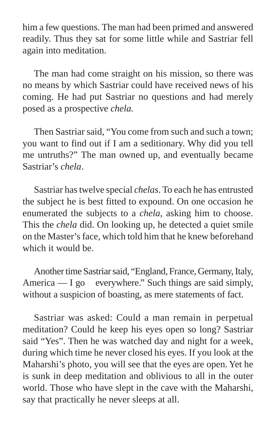him a few questions. The man had been primed and answered readily. Thus they sat for some little while and Sastriar fell again into meditation.

The man had come straight on his mission, so there was no means by which Sastriar could have received news of his coming. He had put Sastriar no questions and had merely posed as a prospective *chela.*

Then Sastriar said, "You come from such and such a town; you want to find out if I am a seditionary. Why did you tell me untruths?" The man owned up, and eventually became Sastriar's *chela*.

Sastriar has twelve special *chelas*. To each he has entrusted the subject he is best fitted to expound. On one occasion he enumerated the subjects to a *chela*, asking him to choose. This the *chela* did. On looking up, he detected a quiet smile on the Master's face, which told him that he knew beforehand which it would be.

Another time Sastriar said, "England, France, Germany, Italy, America — I go everywhere." Such things are said simply, without a suspicion of boasting, as mere statements of fact.

Sastriar was asked: Could a man remain in perpetual meditation? Could he keep his eyes open so long? Sastriar said "Yes". Then he was watched day and night for a week, during which time he never closed his eyes. If you look at the Maharshi's photo, you will see that the eyes are open. Yet he is sunk in deep meditation and oblivious to all in the outer world. Those who have slept in the cave with the Maharshi, say that practically he never sleeps at all.